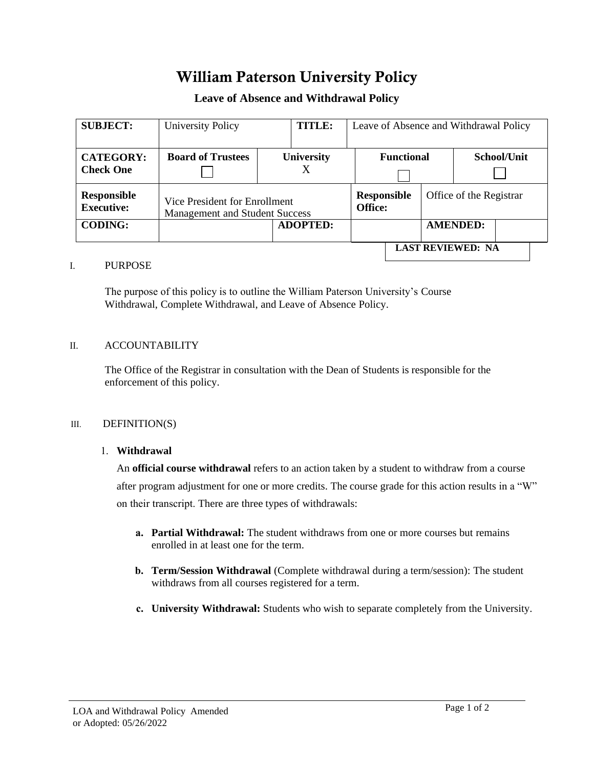# **William Paterson University Policy**

## **Leave of Absence and Withdrawal Policy**

| <b>SUBJECT:</b>                         | <b>University Policy</b>                                               | TITLE:            |  | Leave of Absence and Withdrawal Policy |  |  |                         |  |  |
|-----------------------------------------|------------------------------------------------------------------------|-------------------|--|----------------------------------------|--|--|-------------------------|--|--|
| <b>CATEGORY:</b><br><b>Check One</b>    | <b>Board of Trustees</b>                                               | <b>University</b> |  | <b>Functional</b>                      |  |  | School/Unit             |  |  |
| <b>Responsible</b><br><b>Executive:</b> | Vice President for Enrollment<br><b>Management and Student Success</b> |                   |  | <b>Responsible</b><br>Office:          |  |  | Office of the Registrar |  |  |
| <b>CODING:</b>                          |                                                                        | <b>ADOPTED:</b>   |  |                                        |  |  | <b>AMENDED:</b>         |  |  |
|                                         | <b>LAST REVIEWED: NA</b>                                               |                   |  |                                        |  |  |                         |  |  |

#### I. PURPOSE

The purpose of this policy is to outline the William Paterson University's Course Withdrawal, Complete Withdrawal, and Leave of Absence Policy.

### II. ACCOUNTABILITY

The Office of the Registrar in consultation with the Dean of Students is responsible for the enforcement of this policy.

#### III. DEFINITION(S)

#### 1. **Withdrawal**

An **official course withdrawal** refers to an action taken by a student to withdraw from a course after program adjustment for one or more credits. The course grade for this action results in a "W" on their transcript. There are three types of withdrawals:

- **a. Partial Withdrawal:** The student withdraws from one or more courses but remains enrolled in at least one for the term.
- **b. Term/Session Withdrawal** (Complete withdrawal during a term/session): The student withdraws from all courses registered for a term.
- **c. University Withdrawal:** Students who wish to separate completely from the University.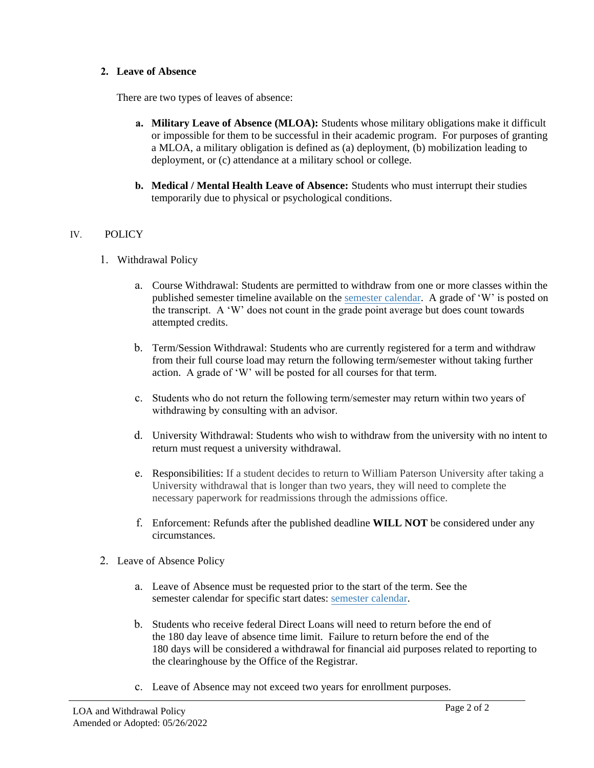## **2. Leave of Absence**

There are two types of leaves of absence:

- **a. Military Leave of Absence (MLOA):** Students whose military obligations make it difficult or impossible for them to be successful in their academic program. For purposes of granting a MLOA, a military obligation is defined as (a) deployment, (b) mobilization leading to deployment, or (c) attendance at a military school or college.
- **b. Medical / Mental Health Leave of Absence:** Students who must interrupt their studies temporarily due to physical or psychological conditions.

## IV. POLICY

- 1. Withdrawal Policy
	- a. Course Withdrawal: Students are permitted to withdraw from one or more classes within the published semester timeline available on the [semester calendar.](https://www.wpunj.edu/registrar/calendars/) A grade of 'W' is posted on the transcript. A 'W' does not count in the grade point average but does count towards attempted credits.
	- b. Term/Session Withdrawal: Students who are currently registered for a term and withdraw from their full course load may return the following term/semester without taking further action. A grade of 'W' will be posted for all courses for that term.
	- c. Students who do not return the following term/semester may return within two years of withdrawing by consulting with an advisor.
	- d. University Withdrawal: Students who wish to withdraw from the university with no intent to return must request a university withdrawal.
	- e. Responsibilities: If a student decides to return to William Paterson University after taking a University withdrawal that is longer than two years, they will need to complete the necessary paperwork for readmissions through the admissions office.
	- f. Enforcement: Refunds after the published deadline **WILL NOT** be considered under any circumstances.
- 2. Leave of Absence Policy
	- a. Leave of Absence must be requested prior to the start of the term. See the semester calendar for specific start dates: [semester calendar.](https://www.wpunj.edu/registrar/calendars/)
	- b. Students who receive federal Direct Loans will need to return before the end of the 180 day leave of absence time limit. Failure to return before the end of the 180 days will be considered a withdrawal for financial aid purposes related to reporting to the clearinghouse by the Office of the Registrar.
	- c. Leave of Absence may not exceed two years for enrollment purposes.